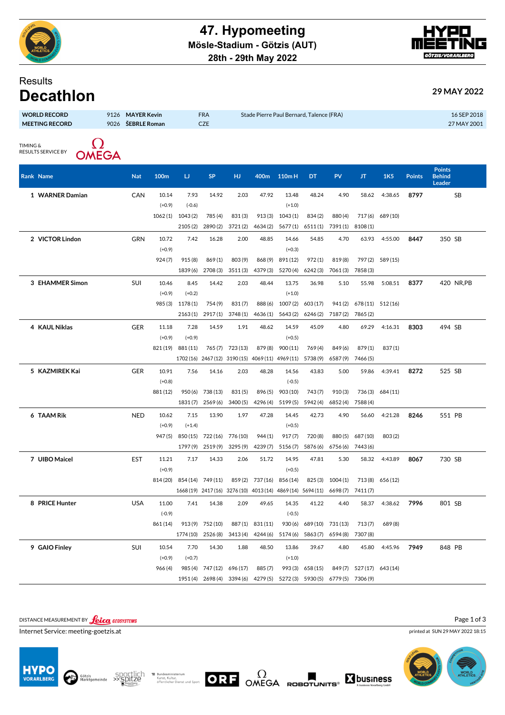



## Results

| .<br><b>Decathlon</b>                        |              |                                    |                   |                                          | 29 MAY 2022                |
|----------------------------------------------|--------------|------------------------------------|-------------------|------------------------------------------|----------------------------|
| <b>WORLD RECORD</b><br><b>MEETING RECORD</b> | 9126<br>9026 | <b>MAYER Kevin</b><br>ŠEBRLE Roman | <b>FRA</b><br>CZE | Stade Pierre Paul Bernard, Talence (FRA) | 16 SEP 2018<br>27 MAY 2001 |
| TIMING &<br><b>RESULTS SERVICE BY</b>        | <b>OMEGA</b> |                                    |                   |                                          |                            |

| Rank Name       | <b>Nat</b> | 100m     | IJ                             | <b>SP</b> | <b>HJ</b>        | 400m                                              | 110mH                                                       | DT                                                                      | PV       | JT                     | 1K5              | <b>Points</b> | <b>Points</b><br><b>Behind</b><br>Leader |            |
|-----------------|------------|----------|--------------------------------|-----------|------------------|---------------------------------------------------|-------------------------------------------------------------|-------------------------------------------------------------------------|----------|------------------------|------------------|---------------|------------------------------------------|------------|
| 1 WARNER Damian | CAN        | 10.14    | 7.93                           | 14.92     | 2.03             | 47.92                                             | 13.48                                                       | 48.24                                                                   | 4.90     | 58.62                  | 4:38.65          | 8797          |                                          | SB         |
|                 |            | $(+0.9)$ | $(-0.6)$                       |           |                  |                                                   | $(+1.0)$                                                    |                                                                         |          |                        |                  |               |                                          |            |
|                 |            | 1062(1)  | 1043(2)                        | 785 (4)   | 831(3)           |                                                   | 913(3) 1043(1)                                              | 834(2)                                                                  | 880(4)   |                        | 717(6) 689(10)   |               |                                          |            |
|                 |            |          | 2105(2)                        | 2890(2)   | 3721(2)          | 4634(2)                                           |                                                             | 5677(1) 6511(1)                                                         | 7391(1)  | 8108(1)                |                  |               |                                          |            |
| 2 VICTOR Lindon | <b>GRN</b> | 10.72    | 7.42                           | 16.28     | 2.00             | 48.85                                             | 14.66                                                       | 54.85                                                                   | 4.70     | 63.93                  | 4:55.00          | 8447          | 350 SB                                   |            |
|                 |            | $(+0.9)$ |                                |           |                  |                                                   | $(+0.3)$                                                    |                                                                         |          |                        |                  |               |                                          |            |
|                 |            | 924(7)   | 915 (8)                        | 869(1)    | 803(9)           |                                                   | 868 (9) 891 (12)                                            | 972(1)                                                                  | 819(8)   |                        | 797 (2) 589 (15) |               |                                          |            |
|                 |            |          | 1839 (6)                       | 2708 (3)  | 3511(3)          | 4379(3)                                           | 5270(4)                                                     | 6242(3)                                                                 | 7061(3)  | 7858 (3)               |                  |               |                                          |            |
| 3 EHAMMER Simon | SUI        | 10.46    | 8.45                           | 14.42     | 2.03             | 48.44                                             | 13.75                                                       | 36.98                                                                   | 5.10     | 55.98                  | 5:08.51          | 8377          |                                          | 420 NR, PB |
|                 |            | $(+0.9)$ | $(+0.2)$                       |           |                  |                                                   | $(+1.0)$                                                    |                                                                         |          |                        |                  |               |                                          |            |
|                 |            |          | 985 (3) 1178 (1)               | 754 (9)   | 831(7)           | 888 (6)                                           | 1007(2)                                                     | 603 (17)                                                                |          | 941(2) 678(11) 512(16) |                  |               |                                          |            |
|                 |            |          | 2163(1)                        | 2917(1)   | 3748(1)          | 4636(1)                                           |                                                             | 5643(2) 6246(2)                                                         | 7187(2)  | 7865(2)                |                  |               |                                          |            |
| 4 KAUL Niklas   | <b>GER</b> | 11.18    | 7.28                           | 14.59     | 1.91             | 48.62                                             | 14.59                                                       | 45.09                                                                   | 4.80     | 69.29                  | 4:16.31          | 8303          | 494 SB                                   |            |
|                 |            | $(+0.9)$ | $(+0.9)$                       |           |                  |                                                   | $(+0.5)$                                                    |                                                                         |          |                        |                  |               |                                          |            |
|                 |            |          | 821(19) 881(11)                |           | 765 (7) 723 (13) |                                                   | 879 (8) 900 (11)                                            | 769(4)                                                                  | 849(6)   | 879(1)                 | 837(1)           |               |                                          |            |
|                 |            |          |                                |           |                  | 1702 (16) 2467 (12) 3190 (15) 4069 (11) 4969 (11) |                                                             | 5738(9)                                                                 | 6587(9)  | 7466 (5)               |                  |               |                                          |            |
| 5 KAZMIREK Kai  | <b>GER</b> | 10.91    | 7.56                           | 14.16     | 2.03             | 48.28                                             | 14.56                                                       | 43.83                                                                   | 5.00     | 59.86                  | 4:39.41          | 8272          | 525 SB                                   |            |
|                 |            | $(+0.8)$ |                                |           |                  |                                                   | $(-0.5)$                                                    |                                                                         |          |                        |                  |               |                                          |            |
|                 |            | 881 (12) | 950 (6)                        | 738 (13)  | 831(5)           |                                                   | 896 (5) 903 (10)                                            | 743(7)                                                                  | 910(3)   |                        | 736 (3) 684 (11) |               |                                          |            |
|                 |            |          | 1831(7)                        | 2569(6)   | 3400(5)          | 4296 (4)                                          | 5199(5)                                                     | 5942 (4)                                                                | 6852(4)  | 7588 (4)               |                  |               |                                          |            |
| 6 TAAM Rik      | <b>NED</b> | 10.62    | 7.15                           | 13.90     | 1.97             | 47.28                                             | 14.45                                                       | 42.73                                                                   | 4.90     | 56.60                  | 4:21.28          | 8246          | 551 PB                                   |            |
|                 |            | $(+0.9)$ | $(+1.4)$                       |           |                  |                                                   | $(+0.5)$                                                    |                                                                         |          |                        |                  |               |                                          |            |
|                 |            |          | 947(5) 850(15) 722(16) 776(10) |           |                  | 944(1)                                            | 917(7)                                                      | 720 (8)                                                                 | 880(5)   | 687 (10)               | 803(2)           |               |                                          |            |
|                 |            |          | 1797 (9)                       | 2519(9)   | 3295(9)          | 4239(7)                                           | 5156(7)                                                     | 5876 (6)                                                                | 6756(6)  | 7443 (6)               |                  |               |                                          |            |
| 7 UIBO Maicel   | <b>EST</b> | 11.21    | 7.17                           | 14.33     | 2.06             | 51.72                                             | 14.95                                                       | 47.81                                                                   | 5.30     | 58.32                  | 4:43.89          | 8067          | 730 SB                                   |            |
|                 |            | $(+0.9)$ |                                |           |                  |                                                   | $(+0.5)$                                                    |                                                                         |          |                        |                  |               |                                          |            |
|                 |            |          | 814 (20) 854 (14) 749 (11)     |           | 859(2)           |                                                   | 737(16) 856(14)                                             | 825(3)                                                                  | 1004(1)  | 713(8)                 | 656 (12)         |               |                                          |            |
|                 |            |          |                                |           |                  |                                                   | 1668 (19) 2417 (16) 3276 (10) 4013 (14) 4869 (14) 5694 (11) |                                                                         | 6698(7)  | 7411(7)                |                  |               |                                          |            |
| 8 PRICE Hunter  | <b>USA</b> | 11.00    | 7.41                           | 14.38     | 2.09             | 49.65                                             | 14.35                                                       | 41.22                                                                   | 4.40     | 58.37                  | 4:38.62          | 7996          | 801 SB                                   |            |
|                 |            | $(-0.9)$ |                                |           |                  |                                                   | $(-0.5)$                                                    |                                                                         |          |                        |                  |               |                                          |            |
|                 |            | 861 (14) | 913(9)                         | 752 (10)  | 887(1)           | 831 (11)                                          | 930(6)                                                      | 689 (10)                                                                | 731 (13) | 713(7)                 | 689 (8)          |               |                                          |            |
|                 |            |          | 1774 (10)                      | 2526 (8)  | 3413(4)          | 4244 (6)                                          | 5174(6)                                                     | 5863(7)                                                                 | 6594 (8) | 7307 (8)               |                  |               |                                          |            |
| 9 GAIO Finley   | SUI        | 10.54    | 7.70                           | 14.30     | 1.88             | 48.50                                             | 13.86                                                       | 39.67                                                                   | 4.80     | 45.80                  | 4:45.96          | 7949          | 848 PB                                   |            |
|                 |            | $(+0.9)$ | $(+0.7)$                       |           |                  |                                                   | $(+1.0)$                                                    |                                                                         |          |                        |                  |               |                                          |            |
|                 |            | 966(4)   | 985 (4)                        | 747 (12)  | 696 (17)         | 885 (7)                                           | 993(3)                                                      | 658 (15)                                                                | 849(7)   | 527 (17) 643 (14)      |                  |               |                                          |            |
|                 |            |          |                                |           |                  |                                                   |                                                             | 1951 (4) 2698 (4) 3394 (6) 4279 (5) 5272 (3) 5930 (5) 6779 (5) 7306 (9) |          |                        |                  |               |                                          |            |

DISTANCE MEASUREMENT BY **Leica** GEOSYSTEMS

Internet Service: meeting-goetzis.at









printed at SUN 29 MAY 2022 18:15

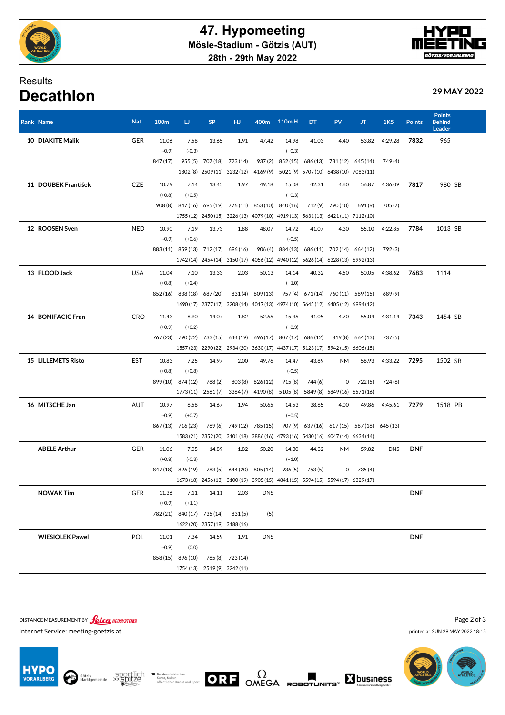

## Results **Decathlon 29 MAY 2022**

| Rank Name              | <b>Nat</b> | 100m     | IJ                         | SP                                          | нJ                     | 400m                      | 110mH                                                                           | DT      | PV                                  | л                                      | 1K <sub>5</sub> | <b>Points</b> | <b>Behind</b><br><b>Leader</b> |
|------------------------|------------|----------|----------------------------|---------------------------------------------|------------------------|---------------------------|---------------------------------------------------------------------------------|---------|-------------------------------------|----------------------------------------|-----------------|---------------|--------------------------------|
| 10 DIAKITE Malik       | <b>GER</b> | 11.06    | 7.58                       | 13.65                                       | 1.91                   | 47.42                     | 14.98                                                                           | 41.03   | 4.40                                | 53.82                                  | 4:29.28         | 7832          | 965                            |
|                        |            | $(-0.9)$ | $(-0.3)$                   |                                             |                        |                           | $(+0.3)$                                                                        |         |                                     |                                        |                 |               |                                |
|                        |            | 847 (17) |                            | 955 (5) 707 (18) 723 (14)                   |                        | 937(2)                    |                                                                                 |         | 852(15) 686(13) 731(12) 645(14)     |                                        | 749 (4)         |               |                                |
|                        |            |          |                            | 1802 (8) 2509 (11) 3232 (12) 4169 (9)       |                        |                           |                                                                                 |         | 5021(9) 5707(10) 6438(10) 7083(11)  |                                        |                 |               |                                |
| 11 DOUBEK František    | <b>CZE</b> | 10.79    | 7.14                       | 13.45                                       | 1.97                   | 49.18                     | 15.08                                                                           | 42.31   | 4.60                                | 56.87                                  | 4:36.09         | 7817          | 980 SB                         |
|                        |            | $(+0.8)$ | $(+0.5)$                   |                                             |                        |                           | $(+0.3)$                                                                        |         |                                     |                                        |                 |               |                                |
|                        |            |          |                            | 908 (8) 847 (16) 695 (19) 776 (11) 853 (10) |                        |                           | 840 (16)                                                                        |         | 712 (9) 790 (10)                    | 691(9)                                 | 705(7)          |               |                                |
|                        |            |          |                            |                                             |                        |                           | 1755 (12) 2450 (15) 3226 (13) 4079 (10) 4919 (13) 5631 (13) 6421 (11) 7112 (10) |         |                                     |                                        |                 |               |                                |
| 12 ROOSEN Sven         | <b>NED</b> | 10.90    | 7.19                       | 13.73                                       | 1.88                   | 48.07                     | 14.72                                                                           | 41.07   | 4.30                                | 55.10                                  | 4:22.85         | 7784          | 1013 SB                        |
|                        |            | $(-0.9)$ | $(+0.6)$                   |                                             |                        |                           | $(-0.5)$                                                                        |         |                                     |                                        |                 |               |                                |
|                        |            |          |                            | 883(11) 859(13) 712(17) 696(16)             |                        | 906 (4)                   |                                                                                 |         | 884 (13) 686 (11) 702 (14) 664 (12) |                                        | 792 (3)         |               |                                |
|                        |            |          |                            |                                             |                        |                           | 1742 (14) 2454 (14) 3150 (17) 4056 (12) 4940 (12) 5626 (14) 6328 (13) 6992 (13) |         |                                     |                                        |                 |               |                                |
| 13 FLOOD Jack          | <b>USA</b> | 11.04    | 7.10                       | 13.33                                       | 2.03                   | 50.13                     | 14.14                                                                           | 40.32   | 4.50                                | 50.05                                  | 4:38.62         | 7683          | 1114                           |
|                        |            | $(+0.8)$ | $(+2.4)$                   |                                             |                        |                           | $(+1.0)$                                                                        |         |                                     |                                        |                 |               |                                |
|                        |            | 852 (16) |                            | 838 (18) 687 (20)                           |                        | 831(4) 809(13)            |                                                                                 |         | 957 (4) 671 (14) 760 (11) 589 (15)  |                                        | 689(9)          |               |                                |
|                        |            |          |                            |                                             |                        |                           | 1690 (17) 2377 (17) 3208 (14) 4017 (13) 4974 (10) 5645 (12) 6405 (12) 6994 (12) |         |                                     |                                        |                 |               |                                |
| 14 BONIFACIC Fran      | <b>CRO</b> | 11.43    | 6.90                       | 14.07                                       | 1.82                   | 52.66                     | 15.36                                                                           | 41.05   | 4.70                                | 55.04                                  | 4:31.14         | 7343          | 1454 SB                        |
|                        |            | $(+0.9)$ | $(+0.2)$                   |                                             |                        |                           | $(+0.3)$                                                                        |         |                                     |                                        |                 |               |                                |
|                        |            |          |                            |                                             |                        |                           | 767 (23) 790 (22) 733 (15) 644 (19) 696 (17) 807 (17) 686 (12)                  |         | 819(8)                              | 664 (13)                               | 737(5)          |               |                                |
|                        |            |          |                            |                                             |                        |                           | 1557 (23) 2290 (22) 2934 (20) 3630 (17) 4437 (17) 5123 (17) 5942 (15) 6606 (15) |         |                                     |                                        |                 |               |                                |
| 15 LILLEMETS Risto     | EST        | 10.83    | 7.25                       | 14.97                                       | 2.00                   | 49.76                     | 14.47                                                                           | 43.89   | <b>NM</b>                           | 58.93                                  | 4:33.22         | 7295          | 1502 SB                        |
|                        |            | $(+0.8)$ | $(+0.8)$                   |                                             |                        |                           | $(-0.5)$                                                                        |         |                                     |                                        |                 |               |                                |
|                        |            |          | 899 (10) 874 (12)          | 788(2)                                      | 803 (8)                | 826 (12)                  | 915(8)                                                                          | 744 (6) | 0                                   | 722(5)                                 | 724 (6)         |               |                                |
|                        |            |          | 1773 (11)                  | 2561(7)                                     | 3364 (7)               | 4190 (8)                  | 5105 (8)                                                                        |         | 5849 (8) 5849 (16) 6571 (16)        |                                        |                 |               |                                |
| 16 MITSCHE Jan         | AUT        | 10.97    | 6.58                       | 14.67                                       | 1.94                   | 50.65                     | 14.53                                                                           | 38.65   | 4.00                                | 49.86                                  | 4:45.61         | 7279          | 1518 PB                        |
|                        |            | $(-0.9)$ | $(+0.7)$                   |                                             |                        |                           | $(+0.5)$                                                                        |         |                                     |                                        |                 |               |                                |
|                        |            |          | 867 (13) 716 (23)          |                                             |                        | 769 (6) 749 (12) 785 (15) |                                                                                 |         |                                     | 907(9) 637(16) 617(15) 587(16) 645(13) |                 |               |                                |
|                        |            |          |                            |                                             |                        |                           | 1583 (21) 2352 (20) 3101 (18) 3886 (16) 4793 (16) 5430 (16) 6047 (14) 6634 (14) |         |                                     |                                        |                 |               |                                |
| <b>ABELE Arthur</b>    | <b>GER</b> | 11.06    | 7.05                       | 14.89                                       | 1.82                   | 50.20                     | 14.30                                                                           | 44.32   | <b>NM</b>                           | 59.82                                  | <b>DNS</b>      | <b>DNF</b>    |                                |
|                        |            | $(+0.8)$ | $(-0.3)$                   |                                             |                        |                           | $(+1.0)$                                                                        |         |                                     |                                        |                 |               |                                |
|                        |            |          | 847 (18) 826 (19)          |                                             | 783(5) 644(20) 805(14) |                           | 936(5)                                                                          | 753(5)  | 0                                   | 735 (4)                                |                 |               |                                |
|                        |            |          |                            |                                             |                        |                           | 1673 (18) 2456 (13) 3100 (19) 3905 (15) 4841 (15) 5594 (15) 5594 (17) 6329 (17) |         |                                     |                                        |                 |               |                                |
| <b>NOWAK Tim</b>       | GER        | 11.36    | 7.11                       | 14.11                                       | 2.03                   | <b>DNS</b>                |                                                                                 |         |                                     |                                        |                 | <b>DNF</b>    |                                |
|                        |            | $(+0.9)$ | $(+1.1)$                   |                                             |                        |                           |                                                                                 |         |                                     |                                        |                 |               |                                |
|                        |            |          | 782 (21) 840 (17) 735 (14) |                                             | 831(5)                 | (5)                       |                                                                                 |         |                                     |                                        |                 |               |                                |
|                        |            |          |                            | 1622 (20) 2357 (19) 3188 (16)               |                        |                           |                                                                                 |         |                                     |                                        |                 |               |                                |
| <b>WIESIOLEK Pawel</b> | <b>POL</b> | 11.01    | 7.34                       | 14.59                                       | 1.91                   | <b>DNS</b>                |                                                                                 |         |                                     |                                        |                 | <b>DNF</b>    |                                |
|                        |            | $(-0.9)$ | (0.0)                      |                                             |                        |                           |                                                                                 |         |                                     |                                        |                 |               |                                |
|                        |            |          | 858 (15) 896 (10)          |                                             | 765 (8) 723 (14)       |                           |                                                                                 |         |                                     |                                        |                 |               |                                |
|                        |            |          |                            | 1754 (13) 2519 (9) 3242 (11)                |                        |                           |                                                                                 |         |                                     |                                        |                 |               |                                |
|                        |            |          |                            |                                             |                        |                           |                                                                                 |         |                                     |                                        |                 |               |                                |

DISTANCE MEASUREMENT BY **Leica** GEOSYSTEMS

Internet Service: meeting-goetzis.at









printed at SUN 29 MAY 2022 18:15





**Points**

Page 2 of 3